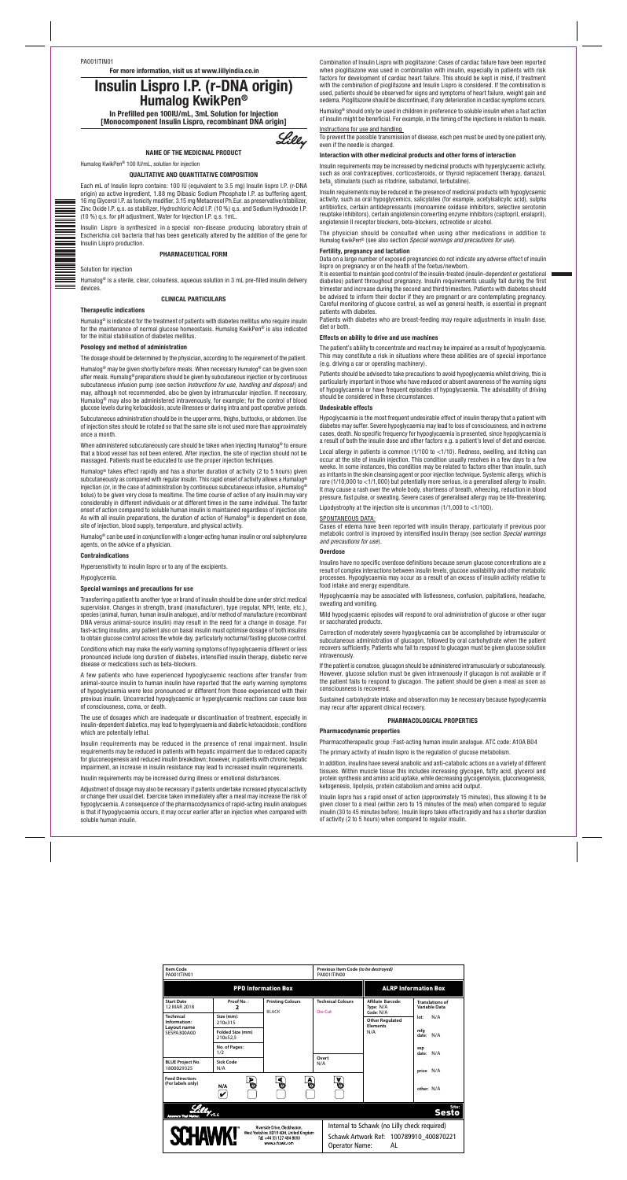PA001ITIN01

**For more information, visit us at www.lillyindia.co.in**

# **Insulin Lispro I.P. (r-DNA origin) Humalog KwikPen®**

**In Prefilled pen 100IU/mL, 3mL Solution for Injection [Monocomponent Insulin Lispro, recombinant DNA origin]**



#### **NAME OF THE MEDICINAL PRODUCT**

Humalog KwikPen® 100 IU/mL, solution for injection

### **QUALITATIVE AND QUANTITATIVE COMPOSITION**

Each mL of Insulin lispro contains: 100 IU (equivalent to 3.5 mg) Insulin lispro I.P. (r-DNA origin) as active ingredient, 1.88 mg Dibasic Sodium Phosphate I.P. as buffering agent, 16 mg Glycerol I.P. as tonicity modifier, 3.15 mg Metacresol Ph.Eur. as preservative/stabilizer, Zinc Oxide I.P. q.s. as stabilizer, Hydrochloric Acid I.P. (10 %) q.s. and Sodium Hydroxide I.P. (10 %) q.s. for pH adjustment, Water for Injection I.P. q.s. 1mL.

Insulin Lispro is synthesized in a special non-disease producing laboratory strain of Escherichia coli bacteria that has been genetically altered by the addition of the gene for Insulin Lispro production.

#### **PHARMACEUTICAL FORM**

Solution for injection

Humalog® is a sterile, clear, colourless, aqueous solution in 3 mL pre-filled insulin delivery devices.

#### **CLINICAL PARTICULARS**

#### **Therapeutic indications**

Humalog® is indicated for the treatment of patients with diabetes mellitus who require insulin for the maintenance of normal glucose homeostasis. Humalog KwikPen® is also indicated for the initial stabilisation of diabetes mellitus.

#### **Posology and method of administration**

The dosage should be determined by the physician, according to the requirement of the patient.

Humalog® may be given shortly before meals. When necessary Humalog® can be given soon after meals. Humalog® preparations should be given by subcutaneous injection or by continuous subcutaneous infusion pump (see section *Instructions for use, handling and disposal*) and may, although not recommended, also be given by intramuscular injection. If necessary, Humalog® may also be administered intravenously, for example; for the control of blood glucose levels during ketoacidosis, acute illnesses or during intra and post operative periods.

Subcutaneous administration should be in the upper arms, thighs, buttocks, or abdomen. Use of injection sites should be rotated so that the same site is not used more than approximately once a month.

When administered subcutaneously care should be taken when injecting Humalog® to ensure that a blood vessel has not been entered. After injection, the site of injection should not be massaged. Patients must be educated to use the proper injection techniques.

Humalog® takes effect rapidly and has a shorter duration of activity (2 to 5 hours) given subcutaneously as compared with regular insulin. This rapid onset of activity allows a Humalog® injection (or, in the case of administration by continuous subcutaneous infusion, a Humalog® bolus) to be given very close to mealtime. The time course of action of any insulin may vary considerably in different individuals or at different times in the same individual. The faster onset of action compared to soluble human insulin is maintained regardless of injection site As with all insulin preparations, the duration of action of Humalog® is dependent on dose, site of injection, blood supply, temperature, and physical activity.

Humalog® can be used in conjunction with a longer-acting human insulin or oral sulphonylurea agents, on the advice of a physician.

Insulin requirements may be increased by medicinal products with hyperglycaemic activity, such as oral contraceptives, corticosteroids, or thyroid replacement therapy, danazol, beta, stimulants (such as ritodrine, salbutamol, terbutaline).

### **Contraindications**

Hypersensitivity to insulin lispro or to any of the excipients.

Hypoglycemia.

### **Special warnings and precautions for use**

Transferring a patient to another type or brand of insulin should be done under strict medical supervision. Changes in strength, brand (manufacturer), type (regular, NPH, lente, etc.), species (animal, human, human insulin analogue), and/or method of manufacture (recombinant DNA versus animal-source insulin) may result in the need for a change in dosage. For fast-acting insulins, any patient also on basal insulin must optimise dosage of both insulins to obtain glucose control across the whole day, particularly nocturnal/fasting glucose control.

Conditions which may make the early warning symptoms of hypoglycaemia different or less pronounced include long duration of diabetes, intensified insulin therapy, diabetic nerve disease or medications such as beta-blockers.

A few patients who have experienced hypoglycaemic reactions after transfer from animal-source insulin to human insulin have reported that the early warning symptoms of hypoglycaemia were less pronounced or different from those experienced with their previous insulin. Uncorrected hypoglycaemic or hyperglycaemic reactions can cause loss of consciousness, coma, or death.

The use of dosages which are inadequate or discontinuation of treatment, especially in insulin-dependent diabetics, may lead to hyperglycaemia and diabetic ketoacidosis; conditions which are potentially lethal.

Insulin requirements may be reduced in the presence of renal impairment. Insulin requirements may be reduced in patients with hepatic impairment due to reduced capacity for gluconeogenesis and reduced insulin breakdown; however, in patients with chronic hepatic impairment, an increase in insulin resistance may lead to increased insulin requirements.

Insulin requirements may be increased during illness or emotional disturbances.

Adjustment of dosage may also be necessary if patients undertake increased physical activity

or change their usual diet. Exercise taken immediately after a meal may increase the risk of hypoglycaemia. A consequence of the pharmacodynamics of rapid-acting insulin analogues is that if hypoglycaemia occurs, it may occur earlier after an injection when compared with soluble human insulin.

Combination of Insulin Lispro with pioglitazone: Cases of cardiac failure have been reported when pioglitazone was used in combination with insulin, especially in patients with risk factors for development of cardiac heart failure. This should be kept in mind, if treatment with the combination of pioglitazone and Insulin Lispro is considered. If the combination is used, patients should be observed for signs and symptoms of heart failure, weight gain and oedema. Pioglitazone should be discontinued, if any deterioration in cardiac symptoms occurs.

Humalog® should only be used in children in preference to soluble insulin when a fast action of insulin might be beneficial. For example, in the timing of the injections in relation to meals.

Instructions for use and handling To prevent the possible transmission of disease, each pen must be used by one patient only, even if the needle is changed.

### **Interaction with other medicinal products and other forms of interaction**

Insulin requirements may be reduced in the presence of medicinal products with hypoglycaemic activity, such as oral hypoglycemics, salicylates (for example, acetylsalicylic acid), sulpha antibiotics, certain antidepressants (monoamine oxidase inhibitors, selective serotonin reuptake inhibitors), certain angiotensin converting enzyme inhibitors (captopril, enalapril), angiotensin II receptor blockers, beta-blockers, octreotide or alcohol.

The physician should be consulted when using other medications in addition to Humalog KwikPen® (see also section *Special warnings and precautions for use*).

### **Fertility, pregnancy and lactation**

Data on a large number of exposed pregnancies do not indicate any adverse effect of insulin lispro on pregnancy or on the health of the foetus/newborn.

It is essential to maintain good control of the insulin-treated (insulin-dependent or gestational diabetes) patient throughout pregnancy. Insulin requirements usually fall during the first trimester and increase during the second and third trimesters. Patients with diabetes should be advised to inform their doctor if they are pregnant or are contemplating pregnancy. Careful monitoring of glucose control, as well as general health, is essential in pregnant patients with diabetes.

Patients with diabetes who are breast-feeding may require adjustments in insulin dose, diet or both.

### **Effects on ability to drive and use machines**

The patient's ability to concentrate and react may be impaired as a result of hypoglycaemia. This may constitute a risk in situations where these abilities are of special importance (e.g. driving a car or operating machinery).

Patients should be advised to take precautions to avoid hypoglycaemia whilst driving, this is particularly important in those who have reduced or absent awareness of the warning signs of hypoglycaemia or have frequent episodes of hypoglycaemia. The advisability of driving should be considered in these circumstances.

#### **Undesirable effects**

Hypoglycaemia is the most frequent undesirable effect of insulin therapy that a patient with diabetes may suffer. Severe hypoglycaemia may lead to loss of consciousness, and in extreme cases, death. No specific frequency for hypoglycaemia is presented, since hypoglycaemia is a result of both the insulin dose and other factors e.g. a patient's level of diet and exercise.

Local allergy in patients is common (1/100 to <1/10). Redness, swelling, and itching can occur at the site of insulin injection. This condition usually resolves in a few days to a few weeks. In some instances, this condition may be related to factors other than insulin, such as irritants in the skin cleansing agent or poor injection technique. Systemic allergy, which is rare (1/10,000 to <1/1,000) but potentially more serious, is a generalised allergy to insulin. It may cause a rash over the whole body, shortness of breath, wheezing, reduction in blood pressure, fast pulse, or sweating. Severe cases of generalised allergy may be life-threatening.

Lipodystrophy at the injection site is uncommon (1/1,000 to <1/100).

#### SPONTANEOUS DATA:

Cases of edema have been reported with insulin therapy, particularly if previous poor metabolic control is improved by intensified insulin therapy (see section *Special warnings and precautions for use*).

#### **Overdose**

Insulins have no specific overdose definitions because serum glucose concentrations are a result of complex interactions between insulin levels, glucose availability and other metabolic processes. Hypoglycaemia may occur as a result of an excess of insulin activity relative to food intake and energy expenditure.

Hypoglycaemia may be associated with listlessness, confusion, palpitations, headache, sweating and vomiting.

Mild hypoglycaemic episodes will respond to oral administration of glucose or other sugar or saccharated products.

Correction of moderately severe hypoglycaemia can be accomplished by intramuscular or subcutaneous administration of glucagon, followed by oral carbohydrate when the patient recovers sufficiently. Patients who fail to respond to glucagon must be given glucose solution intravenously.

If the patient is comatose, glucagon should be administered intramuscularly or subcutaneously. However, glucose solution must be given intravenously if glucagon is not available or if the patient fails to respond to glucagon. The patient should be given a meal as soon as consciousness is recovered.

Sustained carbohydrate intake and observation may be necessary because hypoglycaemia may recur after apparent clinical recovery.

### **PHARMACOLOGICAL PROPERTIES**

#### **Pharmacodynamic properties**

Pharmacotherapeutic group :Fast-acting human insulin analogue. ATC code: A10A B04

The primary activity of insulin lispro is the regulation of glucose metabolism.

In addition, insulins have several anabolic and anti-catabolic actions on a variety of different tissues. Within muscle tissue this includes increasing glycogen, fatty acid, glycerol and protein synthesis and amino acid uptake, while decreasing glycogenolysis, gluconeogenesis, ketogenesis, lipolysis, protein catabolism and amino acid output.

Insulin lispro has a rapid onset of action (approximately 15 minutes), thus allowing it to be given closer to a meal (within zero to 15 minutes of the meal) when compared to regular insulin (30 to 45 minutes before). Insulin lispro takes effect rapidly and has a shorter duration of activity (2 to 5 hours) when compared to regular insulin.

| <b>Item Code</b><br>PA001ITIN01                                                                                                            |                              |                                         | Previous Item Code (to be destroyed)<br>PA001ITIN00 |                                                                                                                 |                                         |  |  |  |
|--------------------------------------------------------------------------------------------------------------------------------------------|------------------------------|-----------------------------------------|-----------------------------------------------------|-----------------------------------------------------------------------------------------------------------------|-----------------------------------------|--|--|--|
|                                                                                                                                            | <b>PPD Information Box</b>   | <b>ALRP</b> Information Box             |                                                     |                                                                                                                 |                                         |  |  |  |
| <b>Start Date</b><br>12 MAR 2018                                                                                                           | Proof No.:<br>7              | <b>Printing Colours</b><br><b>BLACK</b> | <b>Technical Colours</b><br>Die Cut                 | Affiliate Barcode:<br>Type: N/A<br>Code: N/A                                                                    | <b>Translations of</b><br>Variable Data |  |  |  |
| <b>Technical</b><br>Information:<br>Lavout name<br>SESPA300A00                                                                             | Size (mm):<br>210x315        |                                         |                                                     | <b>Other Regulated</b><br><b>Elements</b>                                                                       | N/A<br>lot:                             |  |  |  |
|                                                                                                                                            | Folded Size (mm)<br>210x52.5 |                                         |                                                     | N/A                                                                                                             | mfa<br>N/A<br>date:                     |  |  |  |
|                                                                                                                                            | No. of Pages:<br>1/2         |                                         |                                                     |                                                                                                                 | exp<br>N/A<br>date:                     |  |  |  |
| <b>BLUE Project No.</b><br>1800029325                                                                                                      | Sick Code<br>N/A             |                                         | Overt<br>N/A                                        |                                                                                                                 | price: N/A                              |  |  |  |
| <b>Feed Direction:</b><br>(For labels only)                                                                                                | Þ<br>Ò<br>N/A                | ⋖<br>A<br>O                             | $\frac{6}{5}$                                       |                                                                                                                 | other: N/A                              |  |  |  |
| <sub>Site:</sub><br>Sesto<br>V <sub>5.4</sub><br><b>Answers That Matter.</b>                                                               |                              |                                         |                                                     |                                                                                                                 |                                         |  |  |  |
| Riverside Drive. Cleckheaton.<br><b>SCHAWK!</b><br>West Yorkshire, BD19 4DH, United Kingdom<br>Tel: +44 (0) 127 484 8000<br>www.schawk.com |                              |                                         |                                                     | Internal to Schawk (no Lilly check required)<br>Schawk Artwork Ref: 100789910 400870221<br>AL<br>Operator Name: |                                         |  |  |  |